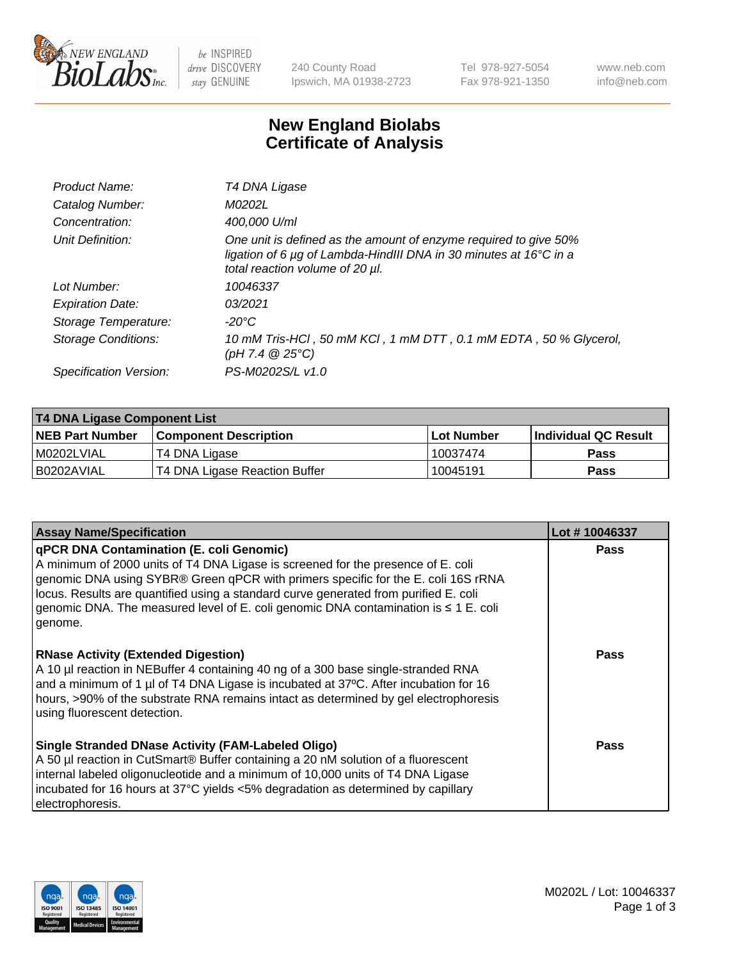

be INSPIRED drive DISCOVERY stay GENUINE

240 County Road Ipswich, MA 01938-2723 Tel 978-927-5054 Fax 978-921-1350 www.neb.com info@neb.com

## **New England Biolabs Certificate of Analysis**

| Product Name:              | T4 DNA Ligase                                                                                                                                                                           |
|----------------------------|-----------------------------------------------------------------------------------------------------------------------------------------------------------------------------------------|
| Catalog Number:            | M0202L                                                                                                                                                                                  |
| Concentration:             | 400,000 U/ml                                                                                                                                                                            |
| Unit Definition:           | One unit is defined as the amount of enzyme required to give 50%<br>ligation of 6 $\mu$ g of Lambda-HindIII DNA in 30 minutes at 16 $\degree$ C in a<br>total reaction volume of 20 µl. |
| Lot Number:                | 10046337                                                                                                                                                                                |
| <b>Expiration Date:</b>    | 03/2021                                                                                                                                                                                 |
| Storage Temperature:       | $-20^{\circ}$ C                                                                                                                                                                         |
| <b>Storage Conditions:</b> | 10 mM Tris-HCl, 50 mM KCl, 1 mM DTT, 0.1 mM EDTA, 50 % Glycerol,<br>(pH 7.4 $@25°C$ )                                                                                                   |
| Specification Version:     | PS-M0202S/L v1.0                                                                                                                                                                        |

| T4 DNA Ligase Component List |                               |              |                             |  |  |
|------------------------------|-------------------------------|--------------|-----------------------------|--|--|
| <b>NEB Part Number</b>       | <b>Component Description</b>  | l Lot Number | <b>Individual QC Result</b> |  |  |
| M0202LVIAL                   | T4 DNA Ligase                 | 10037474     | <b>Pass</b>                 |  |  |
| I B0202AVIAL                 | T4 DNA Ligase Reaction Buffer | 10045191     | <b>Pass</b>                 |  |  |

| <b>Assay Name/Specification</b>                                                                                                                                                                                                                                                                                                                                                                                         | Lot #10046337 |
|-------------------------------------------------------------------------------------------------------------------------------------------------------------------------------------------------------------------------------------------------------------------------------------------------------------------------------------------------------------------------------------------------------------------------|---------------|
| <b>qPCR DNA Contamination (E. coli Genomic)</b><br>A minimum of 2000 units of T4 DNA Ligase is screened for the presence of E. coli<br>genomic DNA using SYBR® Green qPCR with primers specific for the E. coli 16S rRNA<br>locus. Results are quantified using a standard curve generated from purified E. coli<br>genomic DNA. The measured level of E. coli genomic DNA contamination is $\leq 1$ E. coli<br>genome. | <b>Pass</b>   |
| <b>RNase Activity (Extended Digestion)</b><br>A 10 µl reaction in NEBuffer 4 containing 40 ng of a 300 base single-stranded RNA<br>and a minimum of 1 µl of T4 DNA Ligase is incubated at 37 $\degree$ C. After incubation for 16<br>hours, >90% of the substrate RNA remains intact as determined by gel electrophoresis<br>using fluorescent detection.                                                               | Pass          |
| Single Stranded DNase Activity (FAM-Labeled Oligo)<br>A 50 µl reaction in CutSmart® Buffer containing a 20 nM solution of a fluorescent<br>internal labeled oligonucleotide and a minimum of 10,000 units of T4 DNA Ligase<br>incubated for 16 hours at 37°C yields <5% degradation as determined by capillary<br>electrophoresis.                                                                                      | Pass          |

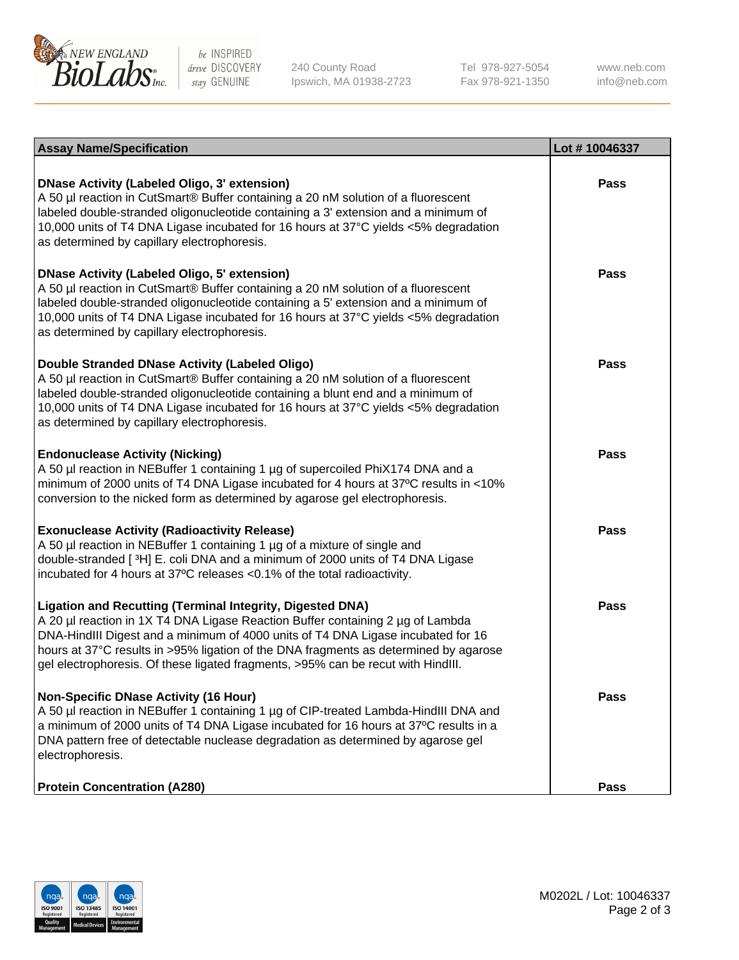

be INSPIRED drive DISCOVERY stay GENUINE

240 County Road Ipswich, MA 01938-2723 Tel 978-927-5054 Fax 978-921-1350

www.neb.com info@neb.com

| <b>Assay Name/Specification</b>                                                                                                                                                                                                                                                                                                                                                                                    | Lot #10046337 |
|--------------------------------------------------------------------------------------------------------------------------------------------------------------------------------------------------------------------------------------------------------------------------------------------------------------------------------------------------------------------------------------------------------------------|---------------|
| <b>DNase Activity (Labeled Oligo, 3' extension)</b><br>A 50 µl reaction in CutSmart® Buffer containing a 20 nM solution of a fluorescent<br>labeled double-stranded oligonucleotide containing a 3' extension and a minimum of<br>10,000 units of T4 DNA Ligase incubated for 16 hours at 37°C yields <5% degradation<br>as determined by capillary electrophoresis.                                               | <b>Pass</b>   |
| <b>DNase Activity (Labeled Oligo, 5' extension)</b><br>A 50 µl reaction in CutSmart® Buffer containing a 20 nM solution of a fluorescent<br>labeled double-stranded oligonucleotide containing a 5' extension and a minimum of<br>10,000 units of T4 DNA Ligase incubated for 16 hours at 37°C yields <5% degradation<br>as determined by capillary electrophoresis.                                               | <b>Pass</b>   |
| Double Stranded DNase Activity (Labeled Oligo)<br>A 50 µl reaction in CutSmart® Buffer containing a 20 nM solution of a fluorescent<br>labeled double-stranded oligonucleotide containing a blunt end and a minimum of<br>10,000 units of T4 DNA Ligase incubated for 16 hours at 37°C yields <5% degradation<br>as determined by capillary electrophoresis.                                                       | <b>Pass</b>   |
| <b>Endonuclease Activity (Nicking)</b><br>A 50 µl reaction in NEBuffer 1 containing 1 µg of supercoiled PhiX174 DNA and a<br>minimum of 2000 units of T4 DNA Ligase incubated for 4 hours at 37°C results in <10%<br>conversion to the nicked form as determined by agarose gel electrophoresis.                                                                                                                   | <b>Pass</b>   |
| <b>Exonuclease Activity (Radioactivity Release)</b><br>A 50 µl reaction in NEBuffer 1 containing 1 µg of a mixture of single and<br>double-stranded [3H] E. coli DNA and a minimum of 2000 units of T4 DNA Ligase<br>incubated for 4 hours at 37°C releases <0.1% of the total radioactivity.                                                                                                                      | <b>Pass</b>   |
| <b>Ligation and Recutting (Terminal Integrity, Digested DNA)</b><br>A 20 µl reaction in 1X T4 DNA Ligase Reaction Buffer containing 2 µg of Lambda<br>DNA-HindIII Digest and a minimum of 4000 units of T4 DNA Ligase incubated for 16<br>hours at 37°C results in >95% ligation of the DNA fragments as determined by agarose<br>gel electrophoresis. Of these ligated fragments, >95% can be recut with HindIII. | <b>Pass</b>   |
| <b>Non-Specific DNase Activity (16 Hour)</b><br>A 50 µl reaction in NEBuffer 1 containing 1 µg of CIP-treated Lambda-HindIII DNA and<br>a minimum of 2000 units of T4 DNA Ligase incubated for 16 hours at 37°C results in a<br>DNA pattern free of detectable nuclease degradation as determined by agarose gel<br>electrophoresis.                                                                               | <b>Pass</b>   |
| <b>Protein Concentration (A280)</b>                                                                                                                                                                                                                                                                                                                                                                                | <b>Pass</b>   |